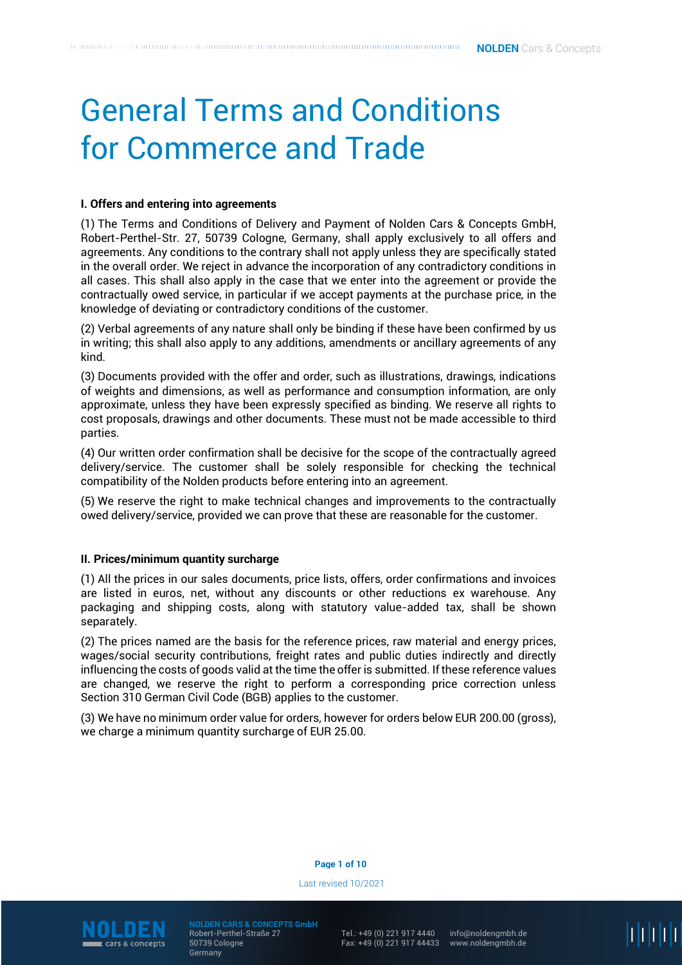# General Terms and Conditions for Commerce and Trade

# **I. Offers and entering into agreements**

(1) The Terms and Conditions of Delivery and Payment of Nolden Cars & Concepts GmbH, Robert-Perthel-Str. 27, 50739 Cologne, Germany, shall apply exclusively to all offers and agreements. Any conditions to the contrary shall not apply unless they are specifically stated in the overall order. We reject in advance the incorporation of any contradictory conditions in all cases. This shall also apply in the case that we enter into the agreement or provide the contractually owed service, in particular if we accept payments at the purchase price, in the knowledge of deviating or contradictory conditions of the customer.

(2) Verbal agreements of any nature shall only be binding if these have been confirmed by us in writing; this shall also apply to any additions, amendments or ancillary agreements of any kind.

(3) Documents provided with the offer and order, such as illustrations, drawings, indications of weights and dimensions, as well as performance and consumption information, are only approximate, unless they have been expressly specified as binding. We reserve all rights to cost proposals, drawings and other documents. These must not be made accessible to third parties.

(4) Our written order confirmation shall be decisive for the scope of the contractually agreed delivery/service. The customer shall be solely responsible for checking the technical compatibility of the Nolden products before entering into an agreement.

(5) We reserve the right to make technical changes and improvements to the contractually owed delivery/service, provided we can prove that these are reasonable for the customer.

## **II. Prices/minimum quantity surcharge**

(1) All the prices in our sales documents, price lists, offers, order confirmations and invoices are listed in euros, net, without any discounts or other reductions ex warehouse. Any packaging and shipping costs, along with statutory value-added tax, shall be shown separately.

(2) The prices named are the basis for the reference prices, raw material and energy prices, wages/social security contributions, freight rates and public duties indirectly and directly influencing the costs of goods valid at the time the offer is submitted. If these reference values are changed, we reserve the right to perform a corresponding price correction unless Section 310 German Civil Code (BGB) applies to the customer.

(3) We have no minimum order value for orders, however for orders below EUR 200.00 (gross), we charge a minimum quantity surcharge of EUR 25.00.

**Page 1 of 10**

Last revised 10/2021



**NOLDEN CARS & CONCEPTS GmbH** Robert-Perthel-Straße 27 50739 Cologne Germany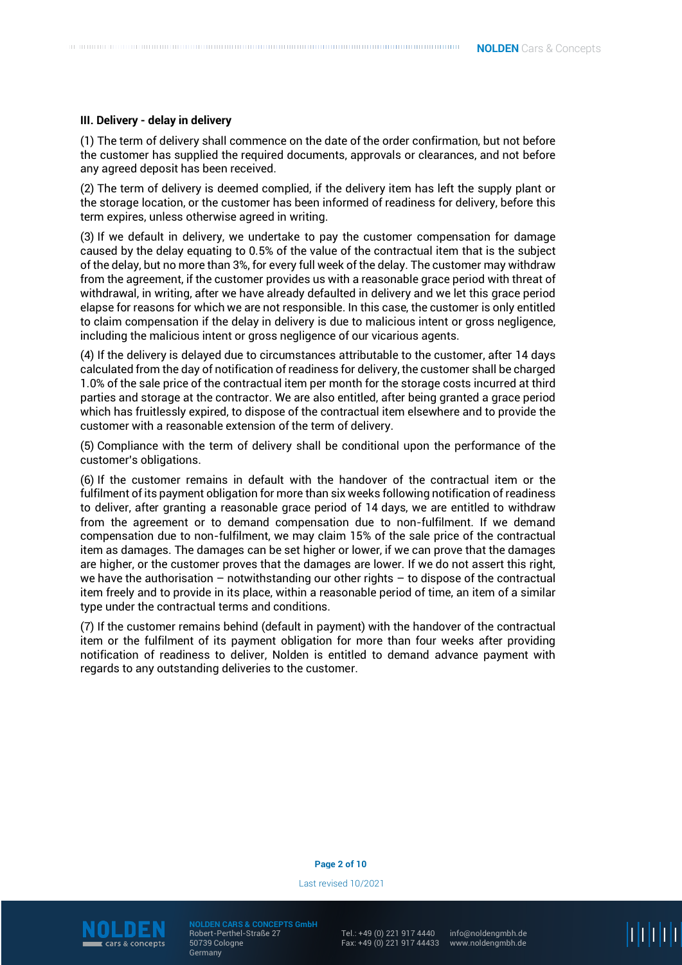## **III. Delivery - delay in delivery**

(1) The term of delivery shall commence on the date of the order confirmation, but not before the customer has supplied the required documents, approvals or clearances, and not before any agreed deposit has been received.

(2) The term of delivery is deemed complied, if the delivery item has left the supply plant or the storage location, or the customer has been informed of readiness for delivery, before this term expires, unless otherwise agreed in writing.

(3) If we default in delivery, we undertake to pay the customer compensation for damage caused by the delay equating to 0.5% of the value of the contractual item that is the subject of the delay, but no more than 3%, for every full week of the delay. The customer may withdraw from the agreement, if the customer provides us with a reasonable grace period with threat of withdrawal, in writing, after we have already defaulted in delivery and we let this grace period elapse for reasons for which we are not responsible. In this case, the customer is only entitled to claim compensation if the delay in delivery is due to malicious intent or gross negligence, including the malicious intent or gross negligence of our vicarious agents.

(4) If the delivery is delayed due to circumstances attributable to the customer, after 14 days calculated from the day of notification of readiness for delivery, the customer shall be charged 1.0% of the sale price of the contractual item per month for the storage costs incurred at third parties and storage at the contractor. We are also entitled, after being granted a grace period which has fruitlessly expired, to dispose of the contractual item elsewhere and to provide the customer with a reasonable extension of the term of delivery.

(5) Compliance with the term of delivery shall be conditional upon the performance of the customer's obligations.

(6) If the customer remains in default with the handover of the contractual item or the fulfilment of its payment obligation for more than six weeks following notification of readiness to deliver, after granting a reasonable grace period of 14 days, we are entitled to withdraw from the agreement or to demand compensation due to non-fulfilment. If we demand compensation due to non-fulfilment, we may claim 15% of the sale price of the contractual item as damages. The damages can be set higher or lower, if we can prove that the damages are higher, or the customer proves that the damages are lower. If we do not assert this right, we have the authorisation – notwithstanding our other rights – to dispose of the contractual item freely and to provide in its place, within a reasonable period of time, an item of a similar type under the contractual terms and conditions.

(7) If the customer remains behind (default in payment) with the handover of the contractual item or the fulfilment of its payment obligation for more than four weeks after providing notification of readiness to deliver, Nolden is entitled to demand advance payment with regards to any outstanding deliveries to the customer.

#### **Page 2 of 10**

Last revised 10/2021



**NOLDEN CARS & CONCEPTS GmbH** Robert-Perthel-Straße 27 50739 Cologne Germany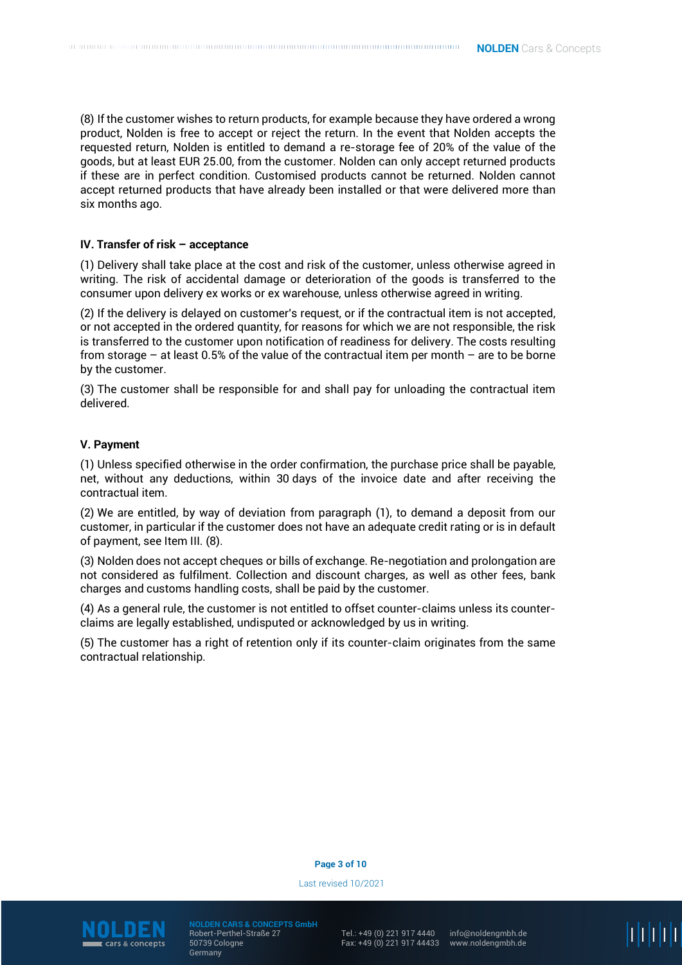(8) If the customer wishes to return products, for example because they have ordered a wrong product, Nolden is free to accept or reject the return. In the event that Nolden accepts the requested return, Nolden is entitled to demand a re-storage fee of 20% of the value of the goods, but at least EUR 25.00, from the customer. Nolden can only accept returned products if these are in perfect condition. Customised products cannot be returned. Nolden cannot accept returned products that have already been installed or that were delivered more than six months ago.

# **IV. Transfer of risk – acceptance**

(1) Delivery shall take place at the cost and risk of the customer, unless otherwise agreed in writing. The risk of accidental damage or deterioration of the goods is transferred to the consumer upon delivery ex works or ex warehouse, unless otherwise agreed in writing.

(2) If the delivery is delayed on customer's request, or if the contractual item is not accepted, or not accepted in the ordered quantity, for reasons for which we are not responsible, the risk is transferred to the customer upon notification of readiness for delivery. The costs resulting from storage – at least 0.5% of the value of the contractual item per month – are to be borne by the customer.

(3) The customer shall be responsible for and shall pay for unloading the contractual item delivered.

## **V. Payment**

(1) Unless specified otherwise in the order confirmation, the purchase price shall be payable, net, without any deductions, within 30 days of the invoice date and after receiving the contractual item.

(2) We are entitled, by way of deviation from paragraph (1), to demand a deposit from our customer, in particular if the customer does not have an adequate credit rating or is in default of payment, see Item III. (8).

(3) Nolden does not accept cheques or bills of exchange. Re-negotiation and prolongation are not considered as fulfilment. Collection and discount charges, as well as other fees, bank charges and customs handling costs, shall be paid by the customer.

(4) As a general rule, the customer is not entitled to offset counter-claims unless its counterclaims are legally established, undisputed or acknowledged by us in writing.

(5) The customer has a right of retention only if its counter-claim originates from the same contractual relationship.

## **Page 3 of 10**

Last revised 10/2021



**NOLDEN CARS & CONCEPTS GmbH** Robert-Perthel-Straße 27 50739 Cologne Germany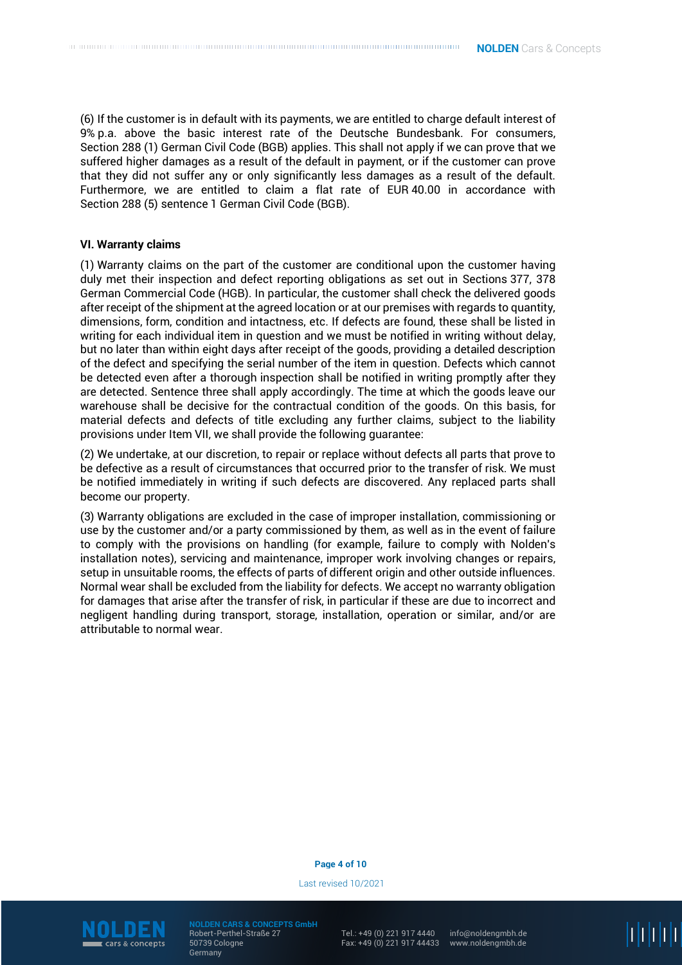(6) If the customer is in default with its payments, we are entitled to charge default interest of 9% p.a. above the basic interest rate of the Deutsche Bundesbank. For consumers, Section 288 (1) German Civil Code (BGB) applies. This shall not apply if we can prove that we suffered higher damages as a result of the default in payment, or if the customer can prove that they did not suffer any or only significantly less damages as a result of the default. Furthermore, we are entitled to claim a flat rate of EUR 40.00 in accordance with Section 288 (5) sentence 1 German Civil Code (BGB).

## **VI. Warranty claims**

(1) Warranty claims on the part of the customer are conditional upon the customer having duly met their inspection and defect reporting obligations as set out in Sections 377, 378 German Commercial Code (HGB). In particular, the customer shall check the delivered goods after receipt of the shipment at the agreed location or at our premises with regards to quantity, dimensions, form, condition and intactness, etc. If defects are found, these shall be listed in writing for each individual item in question and we must be notified in writing without delay, but no later than within eight days after receipt of the goods, providing a detailed description of the defect and specifying the serial number of the item in question. Defects which cannot be detected even after a thorough inspection shall be notified in writing promptly after they are detected. Sentence three shall apply accordingly. The time at which the goods leave our warehouse shall be decisive for the contractual condition of the goods. On this basis, for material defects and defects of title excluding any further claims, subject to the liability provisions under Item VII, we shall provide the following guarantee:

(2) We undertake, at our discretion, to repair or replace without defects all parts that prove to be defective as a result of circumstances that occurred prior to the transfer of risk. We must be notified immediately in writing if such defects are discovered. Any replaced parts shall become our property.

(3) Warranty obligations are excluded in the case of improper installation, commissioning or use by the customer and/or a party commissioned by them, as well as in the event of failure to comply with the provisions on handling (for example, failure to comply with Nolden's installation notes), servicing and maintenance, improper work involving changes or repairs, setup in unsuitable rooms, the effects of parts of different origin and other outside influences. Normal wear shall be excluded from the liability for defects. We accept no warranty obligation for damages that arise after the transfer of risk, in particular if these are due to incorrect and negligent handling during transport, storage, installation, operation or similar, and/or are attributable to normal wear.

#### **Page 4 of 10**

Last revised 10/2021



**NOLDEN CARS & CONCEPTS GmbH** Robert-Perthel-Straße 27 50739 Cologne Germany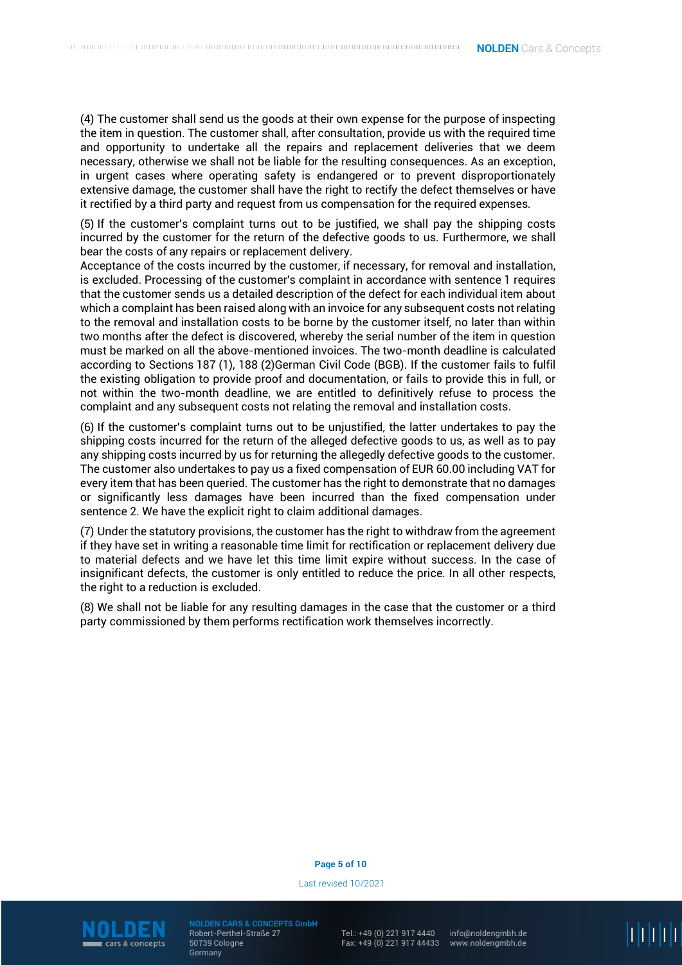(4) The customer shall send us the goods at their own expense for the purpose of inspecting the item in question. The customer shall, after consultation, provide us with the required time and opportunity to undertake all the repairs and replacement deliveries that we deem necessary, otherwise we shall not be liable for the resulting consequences. As an exception, in urgent cases where operating safety is endangered or to prevent disproportionately extensive damage, the customer shall have the right to rectify the defect themselves or have it rectified by a third party and request from us compensation for the required expenses.

(5) If the customer's complaint turns out to be justified, we shall pay the shipping costs incurred by the customer for the return of the defective goods to us. Furthermore, we shall bear the costs of any repairs or replacement delivery.

Acceptance of the costs incurred by the customer, if necessary, for removal and installation, is excluded. Processing of the customer's complaint in accordance with sentence 1 requires that the customer sends us a detailed description of the defect for each individual item about which a complaint has been raised along with an invoice for any subsequent costs not relating to the removal and installation costs to be borne by the customer itself, no later than within two months after the defect is discovered, whereby the serial number of the item in question must be marked on all the above-mentioned invoices. The two-month deadline is calculated according to Sections 187 (1), 188 (2)German Civil Code (BGB). If the customer fails to fulfil the existing obligation to provide proof and documentation, or fails to provide this in full, or not within the two-month deadline, we are entitled to definitively refuse to process the complaint and any subsequent costs not relating the removal and installation costs.

(6) If the customer's complaint turns out to be unjustified, the latter undertakes to pay the shipping costs incurred for the return of the alleged defective goods to us, as well as to pay any shipping costs incurred by us for returning the allegedly defective goods to the customer. The customer also undertakes to pay us a fixed compensation of EUR 60.00 including VAT for every item that has been queried. The customer has the right to demonstrate that no damages or significantly less damages have been incurred than the fixed compensation under sentence 2. We have the explicit right to claim additional damages.

(7) Under the statutory provisions, the customer has the right to withdraw from the agreement if they have set in writing a reasonable time limit for rectification or replacement delivery due to material defects and we have let this time limit expire without success. In the case of insignificant defects, the customer is only entitled to reduce the price. In all other respects, the right to a reduction is excluded.

(8) We shall not be liable for any resulting damages in the case that the customer or a third party commissioned by them performs rectification work themselves incorrectly.

## **Page 5 of 10**

Last revised 10/2021



**NOLDEN CARS & CONCEPTS GmbH** Robert-Perthel-Straße 27 50739 Cologne **Germany**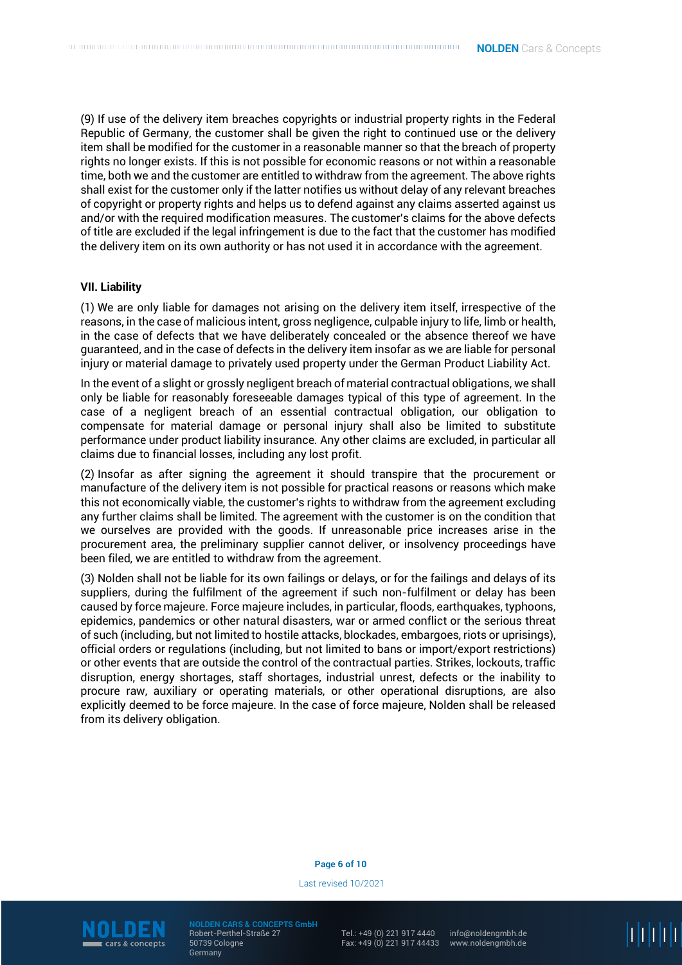(9) If use of the delivery item breaches copyrights or industrial property rights in the Federal Republic of Germany, the customer shall be given the right to continued use or the delivery item shall be modified for the customer in a reasonable manner so that the breach of property rights no longer exists. If this is not possible for economic reasons or not within a reasonable time, both we and the customer are entitled to withdraw from the agreement. The above rights shall exist for the customer only if the latter notifies us without delay of any relevant breaches of copyright or property rights and helps us to defend against any claims asserted against us and/or with the required modification measures. The customer's claims for the above defects of title are excluded if the legal infringement is due to the fact that the customer has modified the delivery item on its own authority or has not used it in accordance with the agreement.

## **VII. Liability**

(1) We are only liable for damages not arising on the delivery item itself, irrespective of the reasons, in the case of malicious intent, gross negligence, culpable injury to life, limb or health, in the case of defects that we have deliberately concealed or the absence thereof we have guaranteed, and in the case of defects in the delivery item insofar as we are liable for personal injury or material damage to privately used property under the German Product Liability Act.

In the event of a slight or grossly negligent breach of material contractual obligations, we shall only be liable for reasonably foreseeable damages typical of this type of agreement. In the case of a negligent breach of an essential contractual obligation, our obligation to compensate for material damage or personal injury shall also be limited to substitute performance under product liability insurance. Any other claims are excluded, in particular all claims due to financial losses, including any lost profit.

(2) Insofar as after signing the agreement it should transpire that the procurement or manufacture of the delivery item is not possible for practical reasons or reasons which make this not economically viable, the customer's rights to withdraw from the agreement excluding any further claims shall be limited. The agreement with the customer is on the condition that we ourselves are provided with the goods. If unreasonable price increases arise in the procurement area, the preliminary supplier cannot deliver, or insolvency proceedings have been filed, we are entitled to withdraw from the agreement.

(3) Nolden shall not be liable for its own failings or delays, or for the failings and delays of its suppliers, during the fulfilment of the agreement if such non-fulfilment or delay has been caused by force majeure. Force majeure includes, in particular, floods, earthquakes, typhoons, epidemics, pandemics or other natural disasters, war or armed conflict or the serious threat of such (including, but not limited to hostile attacks, blockades, embargoes, riots or uprisings), official orders or regulations (including, but not limited to bans or import/export restrictions) or other events that are outside the control of the contractual parties. Strikes, lockouts, traffic disruption, energy shortages, staff shortages, industrial unrest, defects or the inability to procure raw, auxiliary or operating materials, or other operational disruptions, are also explicitly deemed to be force majeure. In the case of force majeure, Nolden shall be released from its delivery obligation.

## **Page 6 of 10**

Last revised 10/2021



**NOLDEN CARS & CONCEPTS GmbH** Robert-Perthel-Straße 27 50739 Cologne Germany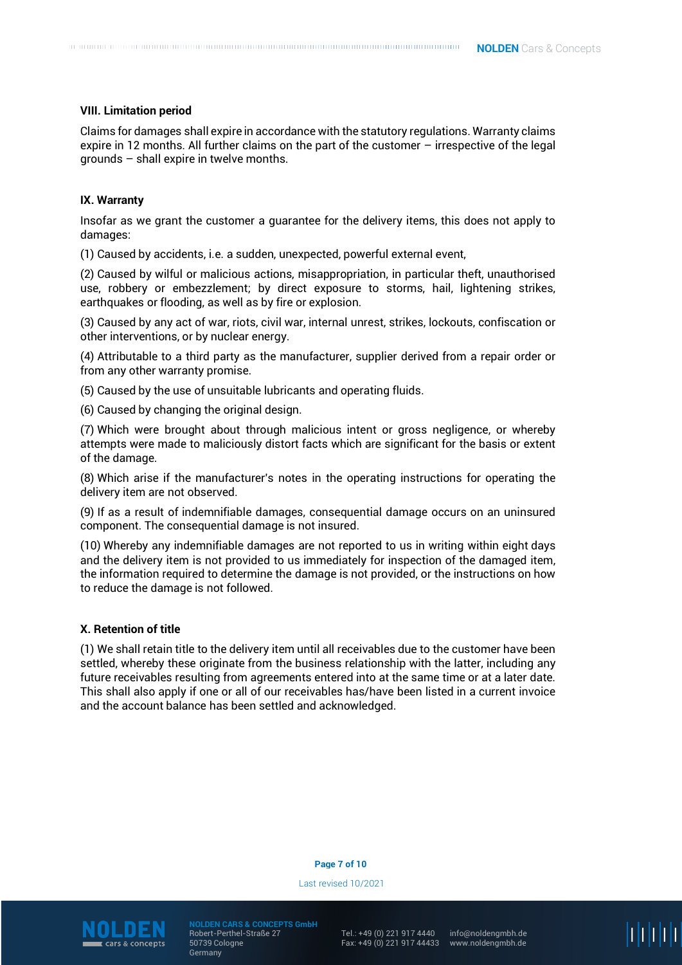## **VIII. Limitation period**

Claims for damages shall expire in accordance with the statutory regulations. Warranty claims expire in 12 months. All further claims on the part of the customer – irrespective of the legal grounds – shall expire in twelve months.

# **IX. Warranty**

Insofar as we grant the customer a guarantee for the delivery items, this does not apply to damages:

(1) Caused by accidents, i.e. a sudden, unexpected, powerful external event,

(2) Caused by wilful or malicious actions, misappropriation, in particular theft, unauthorised use, robbery or embezzlement; by direct exposure to storms, hail, lightening strikes, earthquakes or flooding, as well as by fire or explosion.

(3) Caused by any act of war, riots, civil war, internal unrest, strikes, lockouts, confiscation or other interventions, or by nuclear energy.

(4) Attributable to a third party as the manufacturer, supplier derived from a repair order or from any other warranty promise.

(5) Caused by the use of unsuitable lubricants and operating fluids.

(6) Caused by changing the original design.

(7) Which were brought about through malicious intent or gross negligence, or whereby attempts were made to maliciously distort facts which are significant for the basis or extent of the damage.

(8) Which arise if the manufacturer's notes in the operating instructions for operating the delivery item are not observed.

(9) If as a result of indemnifiable damages, consequential damage occurs on an uninsured component. The consequential damage is not insured.

(10) Whereby any indemnifiable damages are not reported to us in writing within eight days and the delivery item is not provided to us immediately for inspection of the damaged item, the information required to determine the damage is not provided, or the instructions on how to reduce the damage is not followed.

## **X. Retention of title**

(1) We shall retain title to the delivery item until all receivables due to the customer have been settled, whereby these originate from the business relationship with the latter, including any future receivables resulting from agreements entered into at the same time or at a later date. This shall also apply if one or all of our receivables has/have been listed in a current invoice and the account balance has been settled and acknowledged.

## **Page 7 of 10**

Last revised 10/2021



**NOLDEN CARS & CONCEPTS GmbH** Robert-Perthel-Straße 27 50739 Cologne Germany

Tel.: +49 (0) 221 917 4440 Fax: +49 (0) 221 917 44433 li li li li li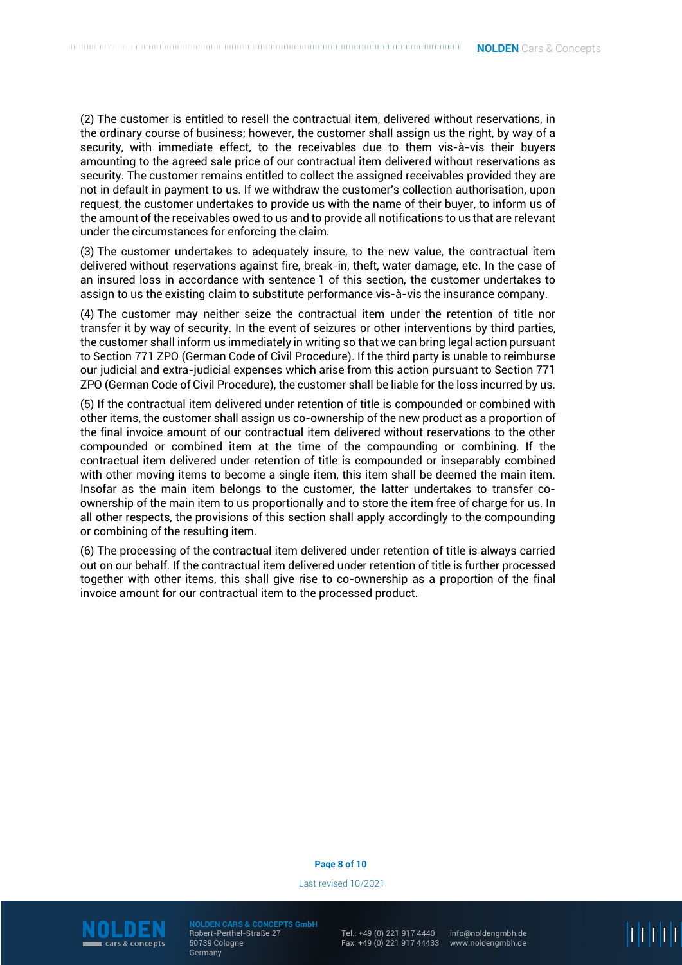(2) The customer is entitled to resell the contractual item, delivered without reservations, in the ordinary course of business; however, the customer shall assign us the right, by way of a security, with immediate effect, to the receivables due to them vis-à-vis their buyers amounting to the agreed sale price of our contractual item delivered without reservations as security. The customer remains entitled to collect the assigned receivables provided they are not in default in payment to us. If we withdraw the customer's collection authorisation, upon request, the customer undertakes to provide us with the name of their buyer, to inform us of the amount of the receivables owed to us and to provide all notifications to us that are relevant under the circumstances for enforcing the claim.

(3) The customer undertakes to adequately insure, to the new value, the contractual item delivered without reservations against fire, break-in, theft, water damage, etc. In the case of an insured loss in accordance with sentence 1 of this section, the customer undertakes to assign to us the existing claim to substitute performance vis-à-vis the insurance company.

(4) The customer may neither seize the contractual item under the retention of title nor transfer it by way of security. In the event of seizures or other interventions by third parties, the customer shall inform us immediately in writing so that we can bring legal action pursuant to Section 771 ZPO (German Code of Civil Procedure). If the third party is unable to reimburse our judicial and extra-judicial expenses which arise from this action pursuant to Section 771 ZPO (German Code of Civil Procedure), the customer shall be liable for the loss incurred by us.

(5) If the contractual item delivered under retention of title is compounded or combined with other items, the customer shall assign us co-ownership of the new product as a proportion of the final invoice amount of our contractual item delivered without reservations to the other compounded or combined item at the time of the compounding or combining. If the contractual item delivered under retention of title is compounded or inseparably combined with other moving items to become a single item, this item shall be deemed the main item. Insofar as the main item belongs to the customer, the latter undertakes to transfer coownership of the main item to us proportionally and to store the item free of charge for us. In all other respects, the provisions of this section shall apply accordingly to the compounding or combining of the resulting item.

(6) The processing of the contractual item delivered under retention of title is always carried out on our behalf. If the contractual item delivered under retention of title is further processed together with other items, this shall give rise to co-ownership as a proportion of the final invoice amount for our contractual item to the processed product.

#### **Page 8 of 10**

Last revised 10/2021



**NOLDEN CARS & CONCEPTS GmbH** Robert-Perthel-Straße 27 50739 Cologne Germany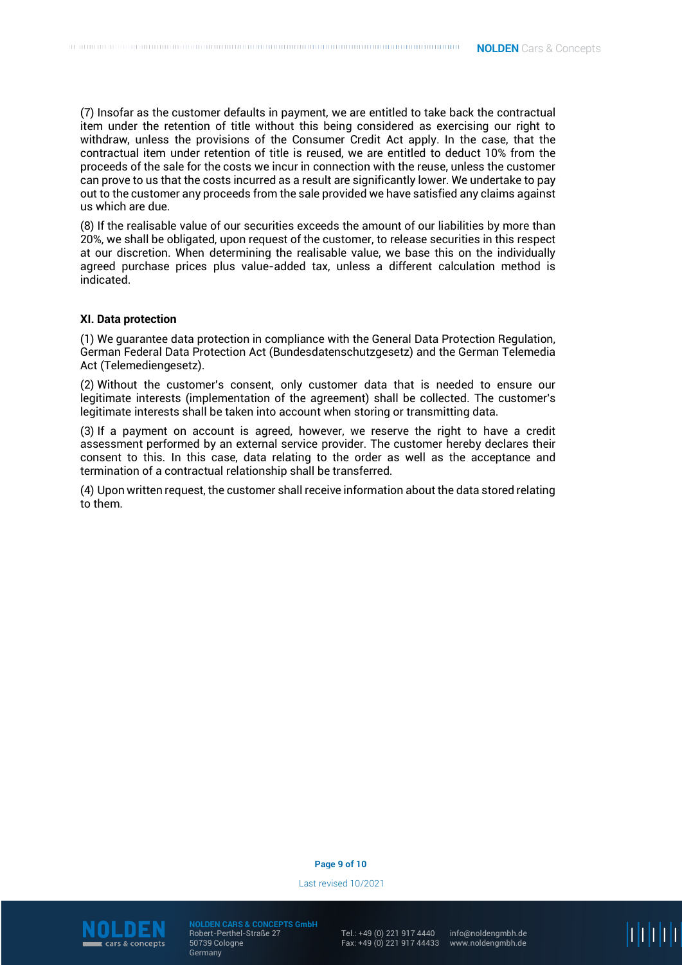(7) Insofar as the customer defaults in payment, we are entitled to take back the contractual item under the retention of title without this being considered as exercising our right to withdraw, unless the provisions of the Consumer Credit Act apply. In the case, that the contractual item under retention of title is reused, we are entitled to deduct 10% from the proceeds of the sale for the costs we incur in connection with the reuse, unless the customer can prove to us that the costs incurred as a result are significantly lower. We undertake to pay out to the customer any proceeds from the sale provided we have satisfied any claims against us which are due.

(8) If the realisable value of our securities exceeds the amount of our liabilities by more than 20%, we shall be obligated, upon request of the customer, to release securities in this respect at our discretion. When determining the realisable value, we base this on the individually agreed purchase prices plus value-added tax, unless a different calculation method is indicated.

## **XI. Data protection**

(1) We guarantee data protection in compliance with the General Data Protection Regulation, German Federal Data Protection Act (Bundesdatenschutzgesetz) and the German Telemedia Act (Telemediengesetz).

(2) Without the customer's consent, only customer data that is needed to ensure our legitimate interests (implementation of the agreement) shall be collected. The customer's legitimate interests shall be taken into account when storing or transmitting data.

(3) If a payment on account is agreed, however, we reserve the right to have a credit assessment performed by an external service provider. The customer hereby declares their consent to this. In this case, data relating to the order as well as the acceptance and termination of a contractual relationship shall be transferred.

(4) Upon written request, the customer shall receive information about the data stored relating to them.

#### **Page 9 of 10**

Last revised 10/2021



**NOLDEN CARS & CONCEPTS GmbH** Robert-Perthel-Straße 27 50739 Cologne Germany